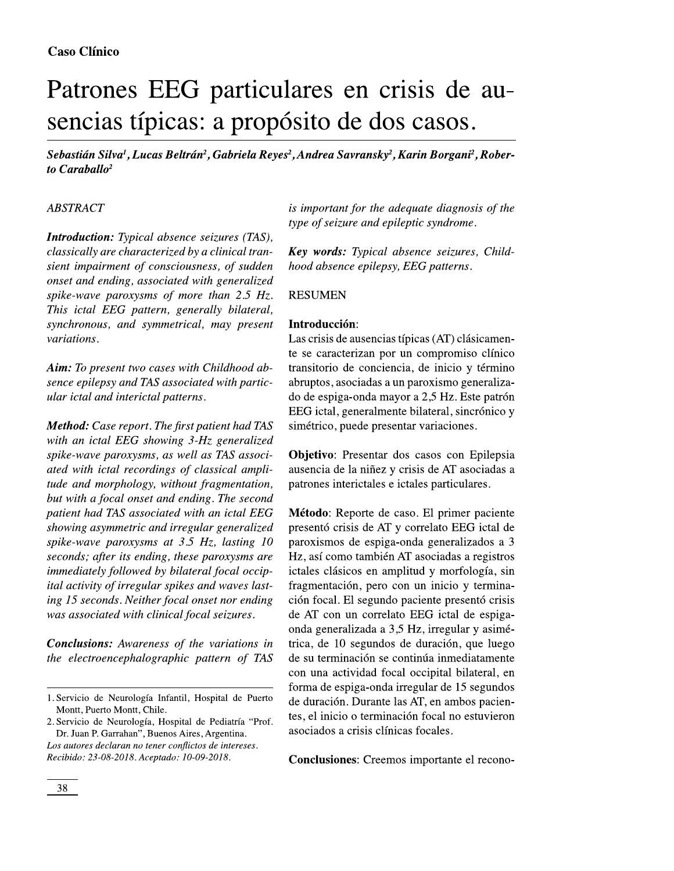# Patrones EEG particulares en crisis de ausencias típicas: a propósito de dos casos.

Sebastián Silva<sup>1</sup>, Lucas Beltrán<sup>2</sup>, Gabriela Reyes<sup>2</sup>, Andrea Savransky<sup>2</sup>, Karin Borgani<sup>2</sup>, Roberto Caraballo $^2$ 

#### **ABSTRACT**

**Introduction:** Typical absence seizures (TAS), classically are characterized by a clinical transient impairment of consciousness, of sudden onset and ending, associated with generalized spike-wave paroxysms of more than  $2.5$  Hz. This ictal EEG pattern, generally bilateral, synchronous, and symmetrical, may present variations.

Aim: To present two cases with Childhood absence epilepsy and TAS associated with particular ictal and interictal patterns.

**Method:** Case report. The first patient had TAS with an ictal EEG showing 3-Hz generalized spike-wave paroxysms, as well as TAS associated with ictal recordings of classical amplitude and morphology, without fragmentation, but with a focal onset and ending. The second patient had TAS associated with an ictal EEG showing asymmetric and irregular generalized spike-wave paroxysms at  $3.5$  Hz, lasting 10 seconds; after its ending, these paroxysms are immediately followed by bilateral focal occipital activity of irregular spikes and waves lasting 15 seconds. Neither focal onset nor ending was associated with clinical focal seizures.

**Conclusions:** Awareness of the variations in the electroencephalographic pattern of TAS

2. Servicio de Neurología, Hospital de Pediatría "Prof. Dr. Juan P. Garrahan", Buenos Aires, Argentina.

Los autores declaran no tener conflictos de intereses. Recibido: 23-08-2018. Aceptado: 10-09-2018.

is important for the adequate diagnosis of the type of seizure and epileptic syndrome.

**Key words:** Typical absence seizures, Childhood absence epilepsy, EEG patterns.

#### **RESUMEN**

#### Introducción:

Las crisis de ausencias típicas (AT) clásicamente se caracterizan por un compromiso clínico transitorio de conciencia, de inicio y término abruptos, asociadas a un paroxismo generalizado de espiga-onda mayor a 2,5 Hz. Este patrón EEG ictal, generalmente bilateral, sincrónico y simétrico, puede presentar variaciones.

Objetivo: Presentar dos casos con Epilepsia ausencia de la niñez y crisis de AT asociadas a patrones interictales e ictales particulares.

Método: Reporte de caso. El primer paciente presentó crisis de AT y correlato EEG ictal de paroxismos de espiga-onda generalizados a 3 Hz, así como también AT asociadas a registros ictales clásicos en amplitud y morfología, sin fragmentación, pero con un inicio y terminación focal. El segundo paciente presentó crisis de AT con un correlato EEG ictal de espigaonda generalizada a 3,5 Hz, irregular y asimétrica, de 10 segundos de duración, que luego de su terminación se continúa inmediatamente con una actividad focal occipital bilateral, en forma de espiga-onda irregular de 15 segundos de duración. Durante las AT, en ambos pacientes, el inicio o terminación focal no estuvieron asociados a crisis clínicas focales.

**Conclusiones:** Creemos importante el recono-

<sup>1.</sup> Servicio de Neurología Infantil, Hospital de Puerto Montt, Puerto Montt, Chile.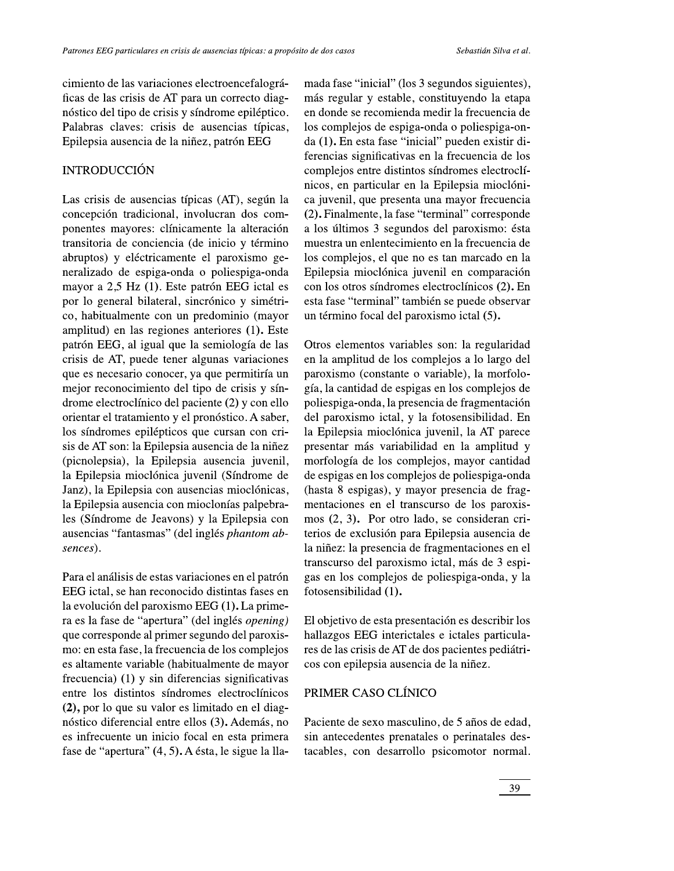cimiento de las variaciones electroencefalográficas de las crisis de AT para un correcto diagnóstico del tipo de crisis y síndrome epiléptico. Palabras claves: crisis de ausencias típicas, Epilepsia ausencia de la niñez, patrón EEG

## **INTRODUCCIÓN**

Las crisis de ausencias típicas (AT), según la concepción tradicional, involucran dos componentes mayores: clínicamente la alteración transitoria de conciencia (de inicio y término abruptos) y eléctricamente el paroxismo generalizado de espiga-onda o poliespiga-onda mayor a 2,5 Hz (1). Este patrón EEG ictal es por lo general bilateral, sincrónico y simétrico, habitualmente con un predominio (mayor amplitud) en las regiones anteriores (1). Este patrón EEG, al igual que la semiología de las crisis de AT, puede tener algunas variaciones que es necesario conocer, ya que permitiría un mejor reconocimiento del tipo de crisis y síndrome electroclínico del paciente (2) y con ello orientar el tratamiento y el pronóstico. A saber, los síndromes epilépticos que cursan con crisis de AT son: la Epilepsia ausencia de la niñez (picnolepsia), la Epilepsia ausencia juvenil, la Epilepsia mioclónica juvenil (Síndrome de Janz), la Epilepsia con ausencias mioclónicas, la Epilepsia ausencia con mioclonías palpebrales (Síndrome de Jeavons) y la Epilepsia con ausencias "fantasmas" (del inglés phantom absences).

Para el análisis de estas variaciones en el patrón EEG ictal, se han reconocido distintas fases en la evolución del paroxismo EEG (1). La primera es la fase de "apertura" (del inglés opening) que corresponde al primer segundo del paroxismo: en esta fase, la frecuencia de los complejos es altamente variable (habitualmente de mayor frecuencia) (1) y sin diferencias significativas entre los distintos síndromes electroclínicos (2), por lo que su valor es limitado en el diagnóstico diferencial entre ellos (3). Además, no es infrecuente un inicio focal en esta primera fase de "apertura" (4, 5). A ésta, le sigue la lla-

mada fase "inicial" (los 3 segundos siguientes), más regular y estable, constituyendo la etapa en donde se recomienda medir la frecuencia de los complejos de espiga-onda o poliespiga-onda (1). En esta fase "inicial" pueden existir diferencias significativas en la frecuencia de los complejos entre distintos síndromes electroclínicos, en particular en la Epilepsia mioclónica juvenil, que presenta una mayor frecuencia (2). Finalmente, la fase "terminal" corresponde a los últimos 3 segundos del paroxismo: ésta muestra un enlentecimiento en la frecuencia de los complejos, el que no es tan marcado en la Epilepsia mioclónica juvenil en comparación con los otros síndromes electroclínicos (2). En esta fase "terminal" también se puede observar un término focal del paroxismo ictal (5).

Otros elementos variables son: la regularidad en la amplitud de los complejos a lo largo del paroxismo (constante o variable), la morfología, la cantidad de espigas en los complejos de poliespiga-onda, la presencia de fragmentación del paroxismo ictal, y la fotosensibilidad. En la Epilepsia mioclónica juvenil, la AT parece presentar más variabilidad en la amplitud y morfología de los complejos, mayor cantidad de espigas en los complejos de poliespiga-onda (hasta 8 espigas), y mayor presencia de fragmentaciones en el transcurso de los paroxismos (2, 3). Por otro lado, se consideran criterios de exclusión para Epilepsia ausencia de la niñez: la presencia de fragmentaciones en el transcurso del paroxismo ictal, más de 3 espigas en los complejos de poliespiga-onda, y la fotosensibilidad (1).

El objetivo de esta presentación es describir los hallazgos EEG interictales e ictales particulares de las crisis de AT de dos pacientes pediátricos con epilepsia ausencia de la niñez.

### PRIMER CASO CLÍNICO

Paciente de sexo masculino, de 5 años de edad, sin antecedentes prenatales o perinatales destacables, con desarrollo psicomotor normal.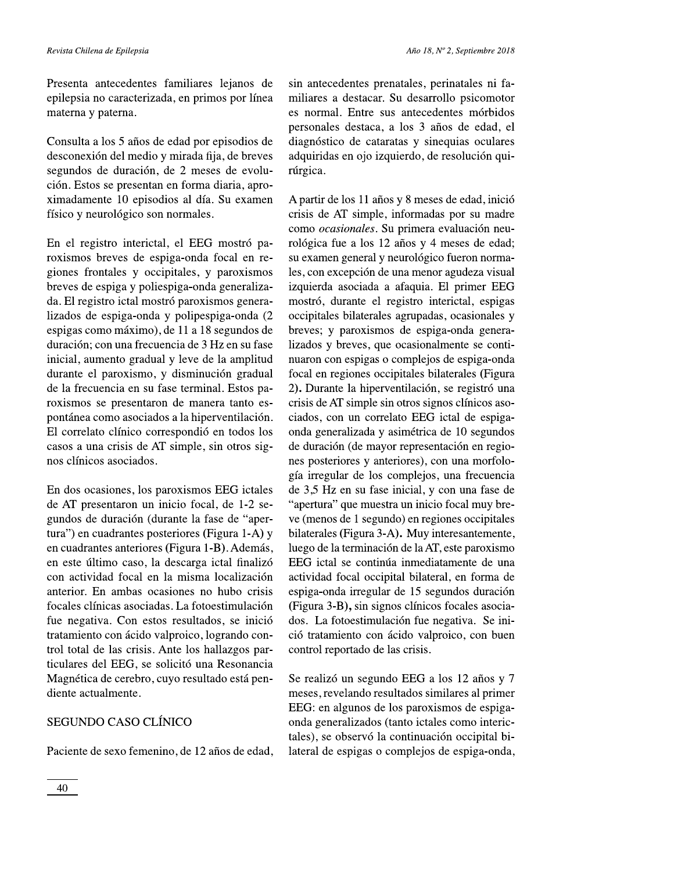Presenta antecedentes familiares lejanos de epilepsia no caracterizada, en primos por línea materna y paterna.

Consulta a los 5 años de edad por episodios de desconexión del medio y mirada fija, de breves segundos de duración, de 2 meses de evolución. Estos se presentan en forma diaria, aproximadamente 10 episodios al día. Su examen físico y neurológico son normales.

En el registro interictal, el EEG mostró paroxismos breves de espiga-onda focal en regiones frontales y occipitales, y paroxismos breves de espiga y poliespiga-onda generalizada. El registro ictal mostró paroxismos generalizados de espiga-onda y polipespiga-onda (2 espigas como máximo), de 11 a 18 segundos de duración; con una frecuencia de 3 Hz en su fase inicial, aumento gradual y leve de la amplitud durante el paroxismo, y disminución gradual de la frecuencia en su fase terminal. Estos paroxismos se presentaron de manera tanto espontánea como asociados a la hiperventilación. El correlato clínico correspondió en todos los casos a una crisis de AT simple, sin otros signos clínicos asociados.

En dos ocasiones, los paroxismos EEG ictales de AT presentaron un inicio focal, de 1-2 segundos de duración (durante la fase de "apertura") en cuadrantes posteriores (Figura 1-A) y en cuadrantes anteriores (Figura 1-B). Además, en este último caso, la descarga ictal finalizó con actividad focal en la misma localización anterior. En ambas ocasiones no hubo crisis focales clínicas asociadas. La fotoestimulación fue negativa. Con estos resultados, se inició tratamiento con ácido valproico, logrando control total de las crisis. Ante los hallazgos particulares del EEG, se solicitó una Resonancia Magnética de cerebro, cuyo resultado está pendiente actualmente.

### SEGUNDO CASO CLÍNICO

Paciente de sexo femenino, de 12 años de edad,

sin antecedentes prenatales, perinatales ni familiares a destacar. Su desarrollo psicomotor es normal. Entre sus antecedentes mórbidos personales destaca, a los 3 años de edad, el diagnóstico de cataratas y sinequias oculares adquiridas en ojo izquierdo, de resolución quirúrgica.

A partir de los 11 años y 8 meses de edad, inició crisis de AT simple, informadas por su madre como ocasionales. Su primera evaluación neurológica fue a los 12 años y 4 meses de edad; su examen general y neurológico fueron normales, con excepción de una menor agudeza visual izquierda asociada a afaquia. El primer EEG mostró, durante el registro interictal, espigas occipitales bilaterales agrupadas, ocasionales y breves; y paroxismos de espiga-onda generalizados y breves, que ocasionalmente se continuaron con espigas o complejos de espiga-onda focal en regiones occipitales bilaterales (Figura 2). Durante la hiperventilación, se registró una crisis de AT simple sin otros signos clínicos asociados, con un correlato EEG ictal de espigaonda generalizada y asimétrica de 10 segundos de duración (de mayor representación en regiones posteriores y anteriores), con una morfología irregular de los complejos, una frecuencia de 3,5 Hz en su fase inicial, y con una fase de "apertura" que muestra un inicio focal muy breve (menos de 1 segundo) en regiones occipitales bilaterales (Figura 3-A). Muy interesantemente, luego de la terminación de la AT, este paroxismo EEG ictal se continúa inmediatamente de una actividad focal occipital bilateral, en forma de espiga-onda irregular de 15 segundos duración (Figura 3-B), sin signos clínicos focales asociados. La fotoestimulación fue negativa. Se inició tratamiento con ácido valproico, con buen control reportado de las crisis.

Se realizó un segundo EEG a los 12 años y 7 meses, revelando resultados similares al primer EEG: en algunos de los paroxismos de espigaonda generalizados (tanto ictales como interictales), se observó la continuación occipital bilateral de espigas o complejos de espiga-onda,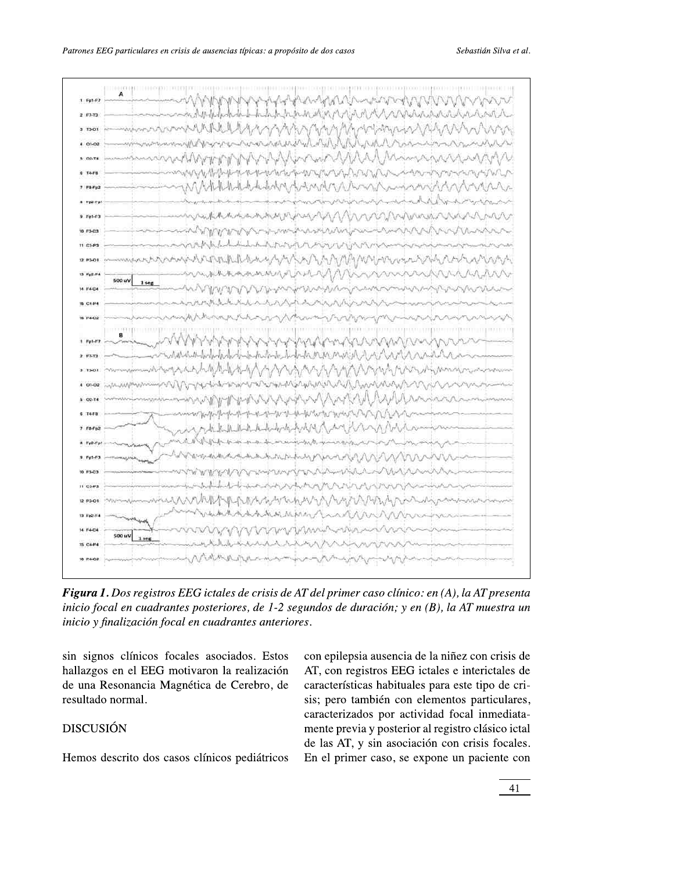| 1.5456         |                        |                  |                                                                                                     |                                                                        |                                     |                    |       |  | A MAN PLANMAN AND MAN ANNOUNCE |
|----------------|------------------------|------------------|-----------------------------------------------------------------------------------------------------|------------------------------------------------------------------------|-------------------------------------|--------------------|-------|--|--------------------------------|
| $2.07-12$      |                        |                  |                                                                                                     |                                                                        |                                     |                    |       |  |                                |
| $3.73-01$      |                        |                  | madamininkkkkunganingunghaniman                                                                     |                                                                        |                                     |                    |       |  |                                |
| $4.01 - 02$    |                        |                  |                                                                                                     |                                                                        |                                     |                    |       |  |                                |
| 0.0874         |                        |                  | MANAMERY MANAMENTANA MANAMANA                                                                       |                                                                        |                                     |                    |       |  |                                |
| $0.74 - 0.08$  |                        |                  |                                                                                                     | ๛๛๛๛๛๛๛๛๛๛๛๛๛๛๛๛๛๛๛๛๛๛๛๛๛๛๛๛                                           |                                     |                    |       |  |                                |
| $7 + 8 + 12$   |                        |                  |                                                                                                     |                                                                        |                                     |                    |       |  |                                |
| a eya          |                        |                  |                                                                                                     |                                                                        |                                     |                    |       |  | mandal Wolver                  |
| $9.191-12$     |                        |                  |                                                                                                     | mmthholololologing the MANNON Virtual                                  |                                     |                    |       |  |                                |
| 10.13-03       |                        |                  |                                                                                                     | www.marthauthauthauthauthauthauth                                      |                                     |                    |       |  |                                |
| 11.03-P1       |                        |                  |                                                                                                     |                                                                        |                                     |                    | month |  |                                |
| 12 83-0        |                        |                  |                                                                                                     | mandirmalation yayar array yayar mwana wasa wa wand                    |                                     |                    |       |  |                                |
| ta Pazzi       | 500 uV                 | 1 <sub>400</sub> |                                                                                                     | nnahraammying Minnnnnnnnn                                              |                                     |                    |       |  |                                |
| 14 F4-04       |                        |                  |                                                                                                     | mMWWWWw.mninghammannmmmmmmmmmm                                         |                                     |                    |       |  |                                |
| <b>15 CEP</b>  |                        |                  |                                                                                                     |                                                                        |                                     |                    |       |  |                                |
| 16 P4-02       |                        |                  |                                                                                                     | chinapphany Manusy wany wy Manus                                       |                                     |                    |       |  |                                |
| $+$ $v_{p1-F}$ |                        |                  |                                                                                                     |                                                                        |                                     | MAMMANNNNNN        |       |  |                                |
| $2.57 - 17$    |                        |                  | what duty of the form of the control of the control of the control of the control of the control of |                                                                        |                                     |                    |       |  |                                |
| $3(13-0)$      |                        |                  |                                                                                                     |                                                                        |                                     |                    |       |  |                                |
| $401-02$       |                        |                  |                                                                                                     |                                                                        |                                     |                    |       |  |                                |
| 5 02-74        |                        |                  |                                                                                                     |                                                                        |                                     |                    |       |  |                                |
|                |                        |                  |                                                                                                     | Workerforthat the report of the form when the                          |                                     |                    |       |  |                                |
| $7.55f$ p2     |                        |                  |                                                                                                     | ment of the Multi-Multi-Multi-Mode Apole (May 1 for a may 1 for a com- |                                     |                    |       |  |                                |
| $A$ Fa2-1      |                        |                  |                                                                                                     |                                                                        |                                     | いいいちゃんじょうしょうちょうしょう |       |  |                                |
|                |                        |                  |                                                                                                     |                                                                        | the handiday parada Man             |                    |       |  |                                |
| <b>10 FS-C</b> |                        |                  |                                                                                                     | WWWW                                                                   | マーク・マントリーン マーク・ディー・ファイン・フィーン しゅうしょく |                    |       |  |                                |
| 11 0341        |                        |                  |                                                                                                     |                                                                        | unin whiting the New York           |                    |       |  |                                |
| 12 P3-01       |                        |                  |                                                                                                     | www.httph.https.com/www.httph.html                                     |                                     |                    |       |  |                                |
| 13 Fp2-F       |                        |                  |                                                                                                     | And And And Maring Count MM                                            |                                     |                    |       |  |                                |
| 14 F4-04       | $500 \text{ uV}$ 1 seg |                  |                                                                                                     | WWWWWWWWAM-WALL                                                        |                                     |                    |       |  |                                |
| 15. C4-P4      |                        |                  |                                                                                                     | ルートートハート                                                               |                                     |                    |       |  |                                |
| 10 P4-02       |                        |                  |                                                                                                     | MARRAYMANNANA                                                          |                                     |                    |       |  |                                |

Figura 1. Dos registros EEG ictales de crisis de AT del primer caso clínico: en (A), la AT presenta inicio focal en cuadrantes posteriores, de 1-2 segundos de duración; y en  $(B)$ , la AT muestra un  $\phi$ inicio y finalización focal en cuadrantes anteriores.

sin signos clínicos focales asociados. Estos hallazgos en el EEG motivaron la realización de una Resonancia Magnetica de Cerebro, de resultado normal. clínicos focales asociados. Estos con epilepente el EEG motivaron la realización AT, con regionancia Magnética de Cerebro, de característica (ormal.<br>
sis; pero tinente prevente prevente prevente prevente prevente prevente

## DISCUSIÓN

 ' 
'ia ausencia de la ninez con crisis de AT, con registros EEG ictales e interictales de características habituales p '
-T del primer caso clínico: en (A), la AT presenta<br>
undos de duración; y en (B), la AT muestra un<br>
s.<br>
con epilepsia ausencia de la niñez con crisis de<br>
AT, con registros EEG ictales e interictales de<br>
características habi is; pero también con elementos particulares, ictales de crisis de AT del primer caso clínico: en (A), la<br>steriores, de 1-2 segundos de duración; y en (B), la AT<br>cuadrantes anteriores.<br>asociados. Estos con epilepsia ausencia de la niñez c<br>ron la realización AT, con re *er caso clínico: en (A), la AT presenta<br>duración; y en (B), la AT muestra un<br>posia ausencia de la niñez con crisis de<br>egistros EEG ictales e interictales de<br>ticas habituales para este tipo de cri-<br>también con elementos pa* caracterizados por actividad focal inmediata-Priores, de 1-2 segundos de duración; y en (B), la AT muestra un<br>
adrantes anteriores.<br>
ociados. Estos con epilepsia ausencia de la niñez con crisis de<br>
1 la realización AT, con registros EEG ictales e interictables de<br>
de terior al registro clásico ictal de las AI, y sin asociación con crisis focales. sociados. Estos con epilepsia ausencia de la niñez con crisis de<br>
la realización AT, con registros EEG ictales e interictales de<br>
de Cerebro, de características habituales para este tipo de cri-<br>
sis; pero también con elem En el primer caso, se expone un paciente con con epilepsia ausencia de la niñez con crisis de<br>AT, con registros EEG ictales e interictales de<br>características habituales para este tipo de cri-<br>sis; pero también con elementos particulares,<br>caracterizados por actividad

Hemos descrito dos casos clínicos p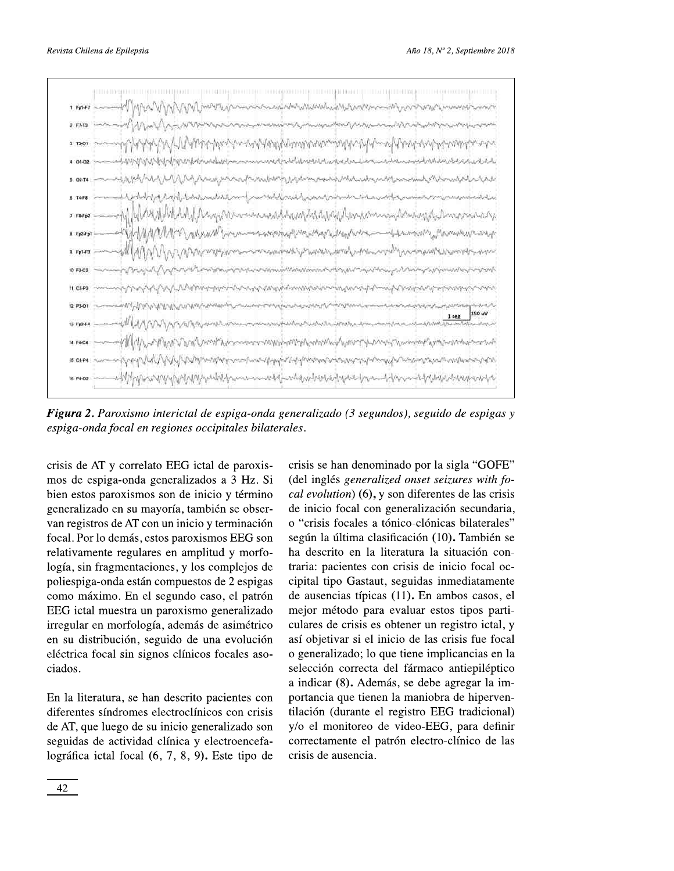

**Figura 2.** Paroxismo interictal de espiga-onda generalizado (3 segundos), seguido de espigas y espiga-onda focal en regiones occipitales bilaterales.

crisis de AT y correlato EEG ictal de paroxismos de espiga-onda generalizados a 3 Hz. Si bien estos paroxismos son de inicio y término generalizado en su mayoría, también se observan registros de AT con un inicio y terminación focal. Por lo demás, estos paroxismos EEG son relativamente regulares en amplitud y morfología, sin fragmentaciones, y los complejos de poliespiga-onda están compuestos de 2 espigas como máximo. En el segundo caso, el patrón EEG ictal muestra un paroxismo generalizado irregular en morfología, además de asimétrico en su distribución, seguido de una evolución eléctrica focal sin signos clínicos focales asociados.

En la literatura, se han descrito pacientes con diferentes síndromes electroclínicos con crisis de AT, que luego de su inicio generalizado son seguidas de actividad clínica y electroencefalográfica ictal focal (6, 7, 8, 9). Este tipo de crisis se han denominado por la sigla "GOFE" (del inglés generalized onset seizures with focal evolution) (6), y son diferentes de las crisis de inicio focal con generalización secundaria, o "crisis focales a tónico-clónicas bilaterales" según la última clasificación (10). También se ha descrito en la literatura la situación contraria: pacientes con crisis de inicio focal occipital tipo Gastaut, seguidas inmediatamente de ausencias típicas (11). En ambos casos, el mejor método para evaluar estos tipos particulares de crisis es obtener un registro ictal, y así objetivar si el inicio de las crisis fue focal o generalizado; lo que tiene implicancias en la selección correcta del fármaco antiepiléptico a indicar (8). Además, se debe agregar la importancia que tienen la maniobra de hiperventilación (durante el registro EEG tradicional) y/o el monitoreo de video-EEG, para definir correctamente el patrón electro-clínico de las crisis de ausencia.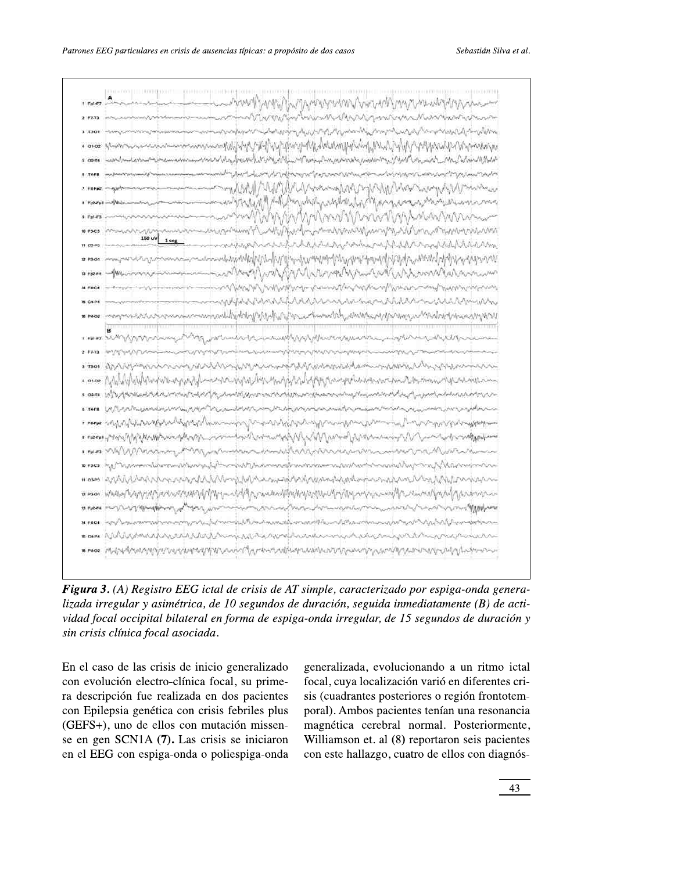|  | . me Landershaus in the street was a control of the street of the street of the street of the street of the street of the street of the street of the street of the street of the street of the street of the street of the st<br>2 PM ALLEN AND CONTRACT CONTRACT AND CONTRACT AND CONTRACT AND CONTRACT AND CONTRACT AND CONTRACT AND |
|--|-----------------------------------------------------------------------------------------------------------------------------------------------------------------------------------------------------------------------------------------------------------------------------------------------------------------------------------------|
|  | a more -ony monomerano momentum proprehensis proprehensis proprehensis - and the second proprehensis proprehensis                                                                                                                                                                                                                       |
|  |                                                                                                                                                                                                                                                                                                                                         |
|  | . once spoon-susususususususususususususulikki yhdyspisyhdy, lotukonpyhdinj <sub>a</sub> Michyly yhdysvaliju/hysovarju                                                                                                                                                                                                                  |
|  | s care -wordportashort-dramentommentoshoppystyles/hotyphy/althim/4/hotyphystyles/hotyphy/hoty/hotyphy/and/hoty/hoty/hoty/hoty/                                                                                                                                                                                                          |
|  | . 1288 www.mason.com/www.mason.com/www.hom/p/hom/www.hom/www.hom/www.hom/www.mason/www.mason/th/mason/                                                                                                                                                                                                                                  |
|  |                                                                                                                                                                                                                                                                                                                                         |
|  |                                                                                                                                                                                                                                                                                                                                         |
|  |                                                                                                                                                                                                                                                                                                                                         |
|  |                                                                                                                                                                                                                                                                                                                                         |
|  |                                                                                                                                                                                                                                                                                                                                         |
|  |                                                                                                                                                                                                                                                                                                                                         |
|  | 10 mars - Harnoverne promotion man man Marty Javal Ville Ville Marty White Will White world Release man                                                                                                                                                                                                                                 |
|  | MARY COMMANDS COMMANDS COMMANDER COMMANDER COMMANDER COMMANDER COMMANDER COMMANDER COMMANDER                                                                                                                                                                                                                                            |
|  | BOARD - Common Common Common Common Common Common Common Common Common Common Common Common Common Common Common Common Common Common Common Common Common Common Common Common Common Common Common Common Common Common Comm                                                                                                          |
|  |                                                                                                                                                                                                                                                                                                                                         |
|  | myster med and the street of the street of the street of the street of the street of the street of the street of the street of the street of the street of the street of the street of the street of the street of the street                                                                                                           |
|  | i ma san Marranny dary for andre transmission for the same of the same and the same transmission of the same                                                                                                                                                                                                                            |
|  | s seus au MAAN aux mondaireach a da chann an comhair an air an chann an chann an chann an chann an chann an ch                                                                                                                                                                                                                          |
|  |                                                                                                                                                                                                                                                                                                                                         |
|  | . once Mylllylulululungivis-eyyaylll-neyinqhqhqluluyngqiylvlululyyggin-yqulubininna-dmullibannan-nychinisam-                                                                                                                                                                                                                            |
|  |                                                                                                                                                                                                                                                                                                                                         |
|  |                                                                                                                                                                                                                                                                                                                                         |
|  | * **** why My Wanghail wy My My My Man wang y Man My My My My Man wy Man wang Man wang Man Man My My My My My                                                                                                                                                                                                                           |
|  | * r#r#1-7499/WWW.com/www.gov/201_www.walgus/communigat/Vlg/Www.waljanawananany/V/Gundarbaranangwalana                                                                                                                                                                                                                                   |
|  | • ma MAMMAXiney AMAMinistration American AMAMAXiney and the United American                                                                                                                                                                                                                                                             |
|  | 10 Pack My Microsomethic on militier published and Microsometh instrument and milities in a sind and milities of Water with a                                                                                                                                                                                                           |
|  | <b>in associated the construction of the complete the construction of the construction of the construction associated to the costs</b>                                                                                                                                                                                                  |
|  |                                                                                                                                                                                                                                                                                                                                         |
|  |                                                                                                                                                                                                                                                                                                                                         |
|  |                                                                                                                                                                                                                                                                                                                                         |
|  |                                                                                                                                                                                                                                                                                                                                         |
|  |                                                                                                                                                                                                                                                                                                                                         |
|  |                                                                                                                                                                                                                                                                                                                                         |

Figura 3. (A) Registro EEG ictal de crisis de AT simple, caracterizado por espiga-onda genera- $Iizada irregular y asimétrica, de 10 segundos de duración, seguida inmediatamente (B) de acti$ vidad focal occipital bilateral en forma de espiga-onda irregular, de 15 segundos de duración y sin crisis clínica focal asociada.

En el caso de las crisis de inicio generalizado con evolución electro-clínica focal, su primera descripción fue realizada en dos pacientes con Epilepsia genética con crisis febriles plus  $(GEFS+)$ , uno de ellos con sin crisis clínica focal asociada.<br>
En el caso de las crisis de inicio generalizado<br>
con evolución electro-clínica focal, su prime-<br>
ra descripción fue realizada en dos pacientes<br>
con Epilepsia genética con crisis febriles se en gen SCN1A (7). Las crisis se iniciaron en el EEG con espiga-onda o poliespiga-on

ado generalizada, evolume<br>me-<br>focal, cuya localiza<br>tes sis (cuadrantes poss<br>plus poral). Ambos paci<br>magnética cerebra<br>ron Williamson et. al (and con este hallazgo. q lucionando a un ritmo ictal -<br>focal, cuva localización varió en diferentes crisis (cuadrantes posteriores o región frontotemporal). Ambos pacientes tenían una resonancia -<br>magnética cerebral normal. Posteriormente. Williamson et. al (8) reportaron seis pacientes con este hallazgo, cuatro de ellos con diagnós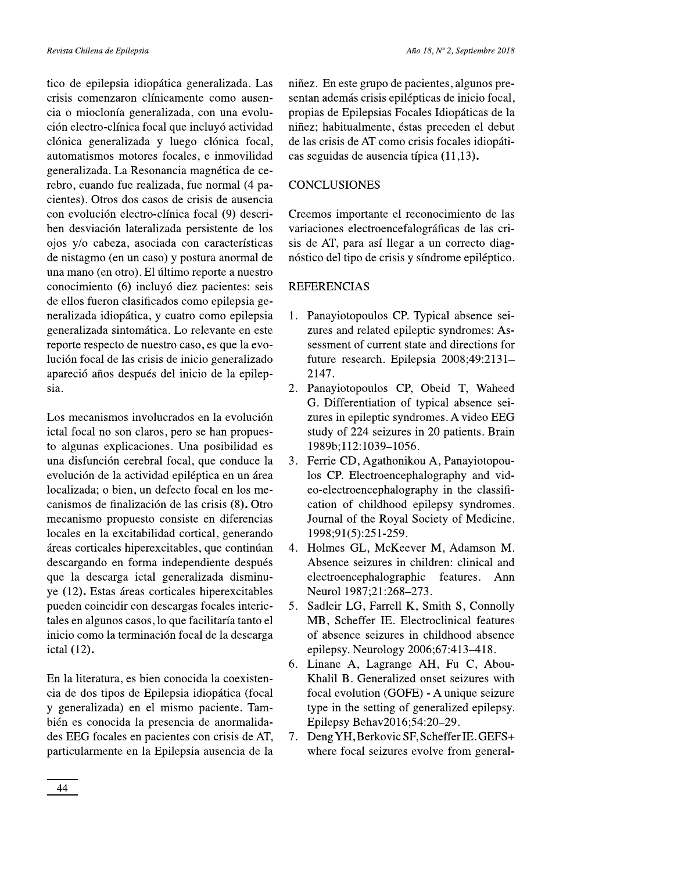tico de epilepsia idiopática generalizada. Las crisis comenzaron clínicamente como ausencia o mioclonía generalizada, con una evolución electro-clínica focal que incluyó actividad clónica generalizada y luego clónica focal, automatismos motores focales, e inmovilidad generalizada. La Resonancia magnética de cerebro, cuando fue realizada, fue normal (4 pacientes). Otros dos casos de crisis de ausencia con evolución electro-clínica focal (9) describen desviación lateralizada persistente de los ojos y/o cabeza, asociada con características de nistagmo (en un caso) y postura anormal de una mano (en otro). El último reporte a nuestro conocimiento (6) incluyó diez pacientes: seis de ellos fueron clasificados como epilepsia generalizada idiopática, y cuatro como epilepsia generalizada sintomática. Lo relevante en este reporte respecto de nuestro caso, es que la evolución focal de las crisis de inicio generalizado apareció años después del inicio de la epilepsia.

Los mecanismos involucrados en la evolución ictal focal no son claros, pero se han propuesto algunas explicaciones. Una posibilidad es una disfunción cerebral focal, que conduce la evolución de la actividad epiléptica en un área localizada; o bien, un defecto focal en los mecanismos de finalización de las crisis (8). Otro mecanismo propuesto consiste en diferencias locales en la excitabilidad cortical, generando áreas corticales hiperexcitables, que continúan descargando en forma independiente después que la descarga ictal generalizada disminuye (12). Estas áreas corticales hiperexcitables pueden coincidir con descargas focales interictales en algunos casos, lo que facilitaría tanto el inicio como la terminación focal de la descarga ictal (12).

En la literatura, es bien conocida la coexistencia de dos tipos de Epilepsia idiopática (focal y generalizada) en el mismo paciente. También es conocida la presencia de anormalidades EEG focales en pacientes con crisis de AT, particularmente en la Epilepsia ausencia de la niñez. En este grupo de pacientes, algunos presentan además crisis epilépticas de inicio focal, propias de Epilepsias Focales Idiopáticas de la niñez; habitualmente, éstas preceden el debut de las crisis de AT como crisis focales idiopáticas seguidas de ausencia típica (11,13).

#### **CONCLUSIONES**

Creemos importante el reconocimiento de las variaciones electroencefalográficas de las crisis de AT, para así llegar a un correcto diagnóstico del tipo de crisis y síndrome epiléptico.

#### **REFERENCIAS**

- 1. Panayiotopoulos CP. Typical absence seizures and related epileptic syndromes: Assessment of current state and directions for future research. Epilepsia 2008;49:2131-2147.
- 2. Panayiotopoulos CP, Obeid T, Waheed G. Differentiation of typical absence seizures in epileptic syndromes. A video EEG study of 224 seizures in 20 patients. Brain 1989b;112:1039-1056.
- 3. Ferrie CD, Agathonikou A, Panayiotopoulos CP. Electroencephalography and video-electroencephalography in the classification of childhood epilepsy syndromes. Journal of the Royal Society of Medicine. 1998;91(5):251-259.
- 4. Holmes GL, McKeever M, Adamson M. Absence seizures in children: clinical and electroencephalographic features. Ann Neurol 1987;21:268-273.
- 5. Sadleir LG, Farrell K, Smith S, Connolly MB, Scheffer IE. Electroclinical features of absence seizures in childhood absence epilepsy. Neurology 2006;67:413-418.
- 6. Linane A, Lagrange AH, Fu C, Abou-Khalil B. Generalized onset seizures with focal evolution (GOFE) - A unique seizure type in the setting of generalized epilepsy. Epilepsy Behav2016;54:20-29.
- 7. Deng YH, Berkovic SF, Scheffer IE. GEFS+ where focal seizures evolve from general-